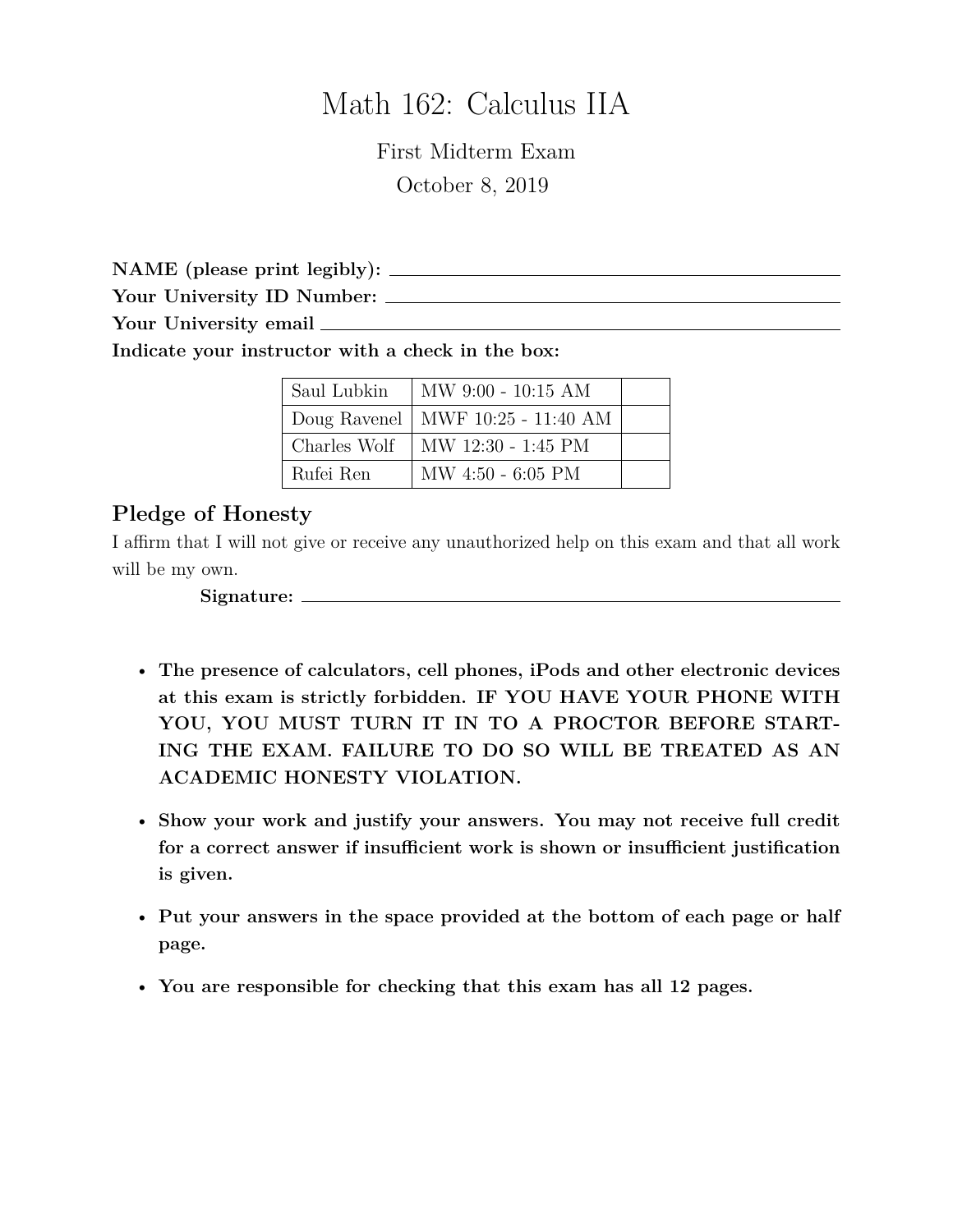# Math 162: Calculus IIA

First Midterm Exam October 8, 2019

**NAME (please print legibly):**

**Your University ID Number:**

**Your University email**

**Indicate your instructor with a check in the box:**

| Saul Lubkin  | MW 9:00 - 10:15 AM                  |  |
|--------------|-------------------------------------|--|
|              | Doug Ravenel   MWF 10:25 - 11:40 AM |  |
| Charles Wolf | MW 12:30 - 1:45 PM                  |  |
| Rufei Ren    | $MW 4:50 - 6:05 PM$                 |  |

## **Pledge of Honesty**

I affirm that I will not give or receive any unauthorized help on this exam and that all work will be my own.

**Signature:**

- **The presence of calculators, cell phones, iPods and other electronic devices at this exam is strictly forbidden. IF YOU HAVE YOUR PHONE WITH YOU, YOU MUST TURN IT IN TO A PROCTOR BEFORE START-ING THE EXAM. FAILURE TO DO SO WILL BE TREATED AS AN ACADEMIC HONESTY VIOLATION.**
- **Show your work and justify your answers. You may not receive full credit for a correct answer if insufficient work is shown or insufficient justification is given.**
- **Put your answers in the space provided at the bottom of each page or half page.**
- **You are responsible for checking that this exam has all 12 pages.**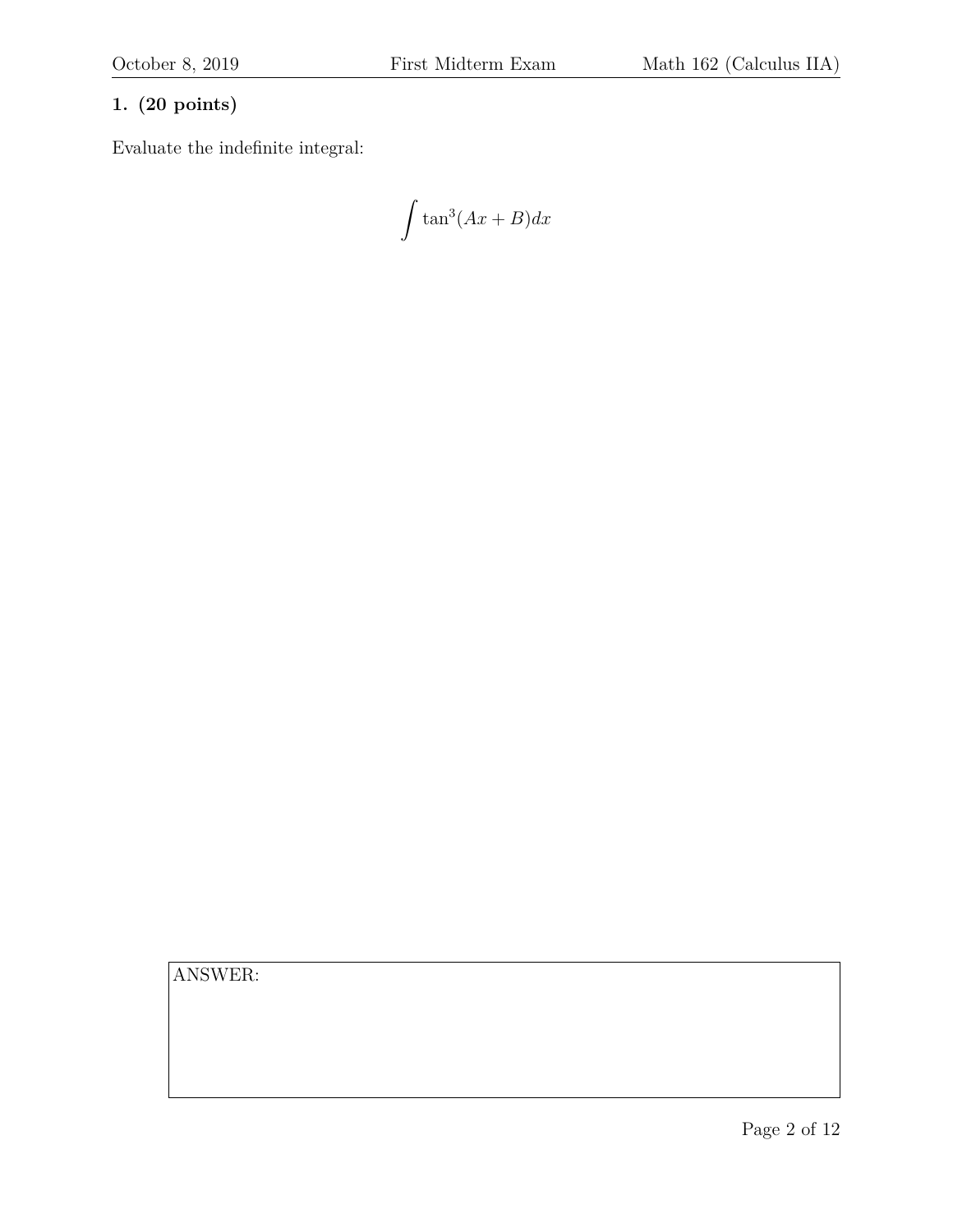### **1. (20 points)**

Evaluate the indefinite integral:

$$
\int \tan^3(Ax+B)dx
$$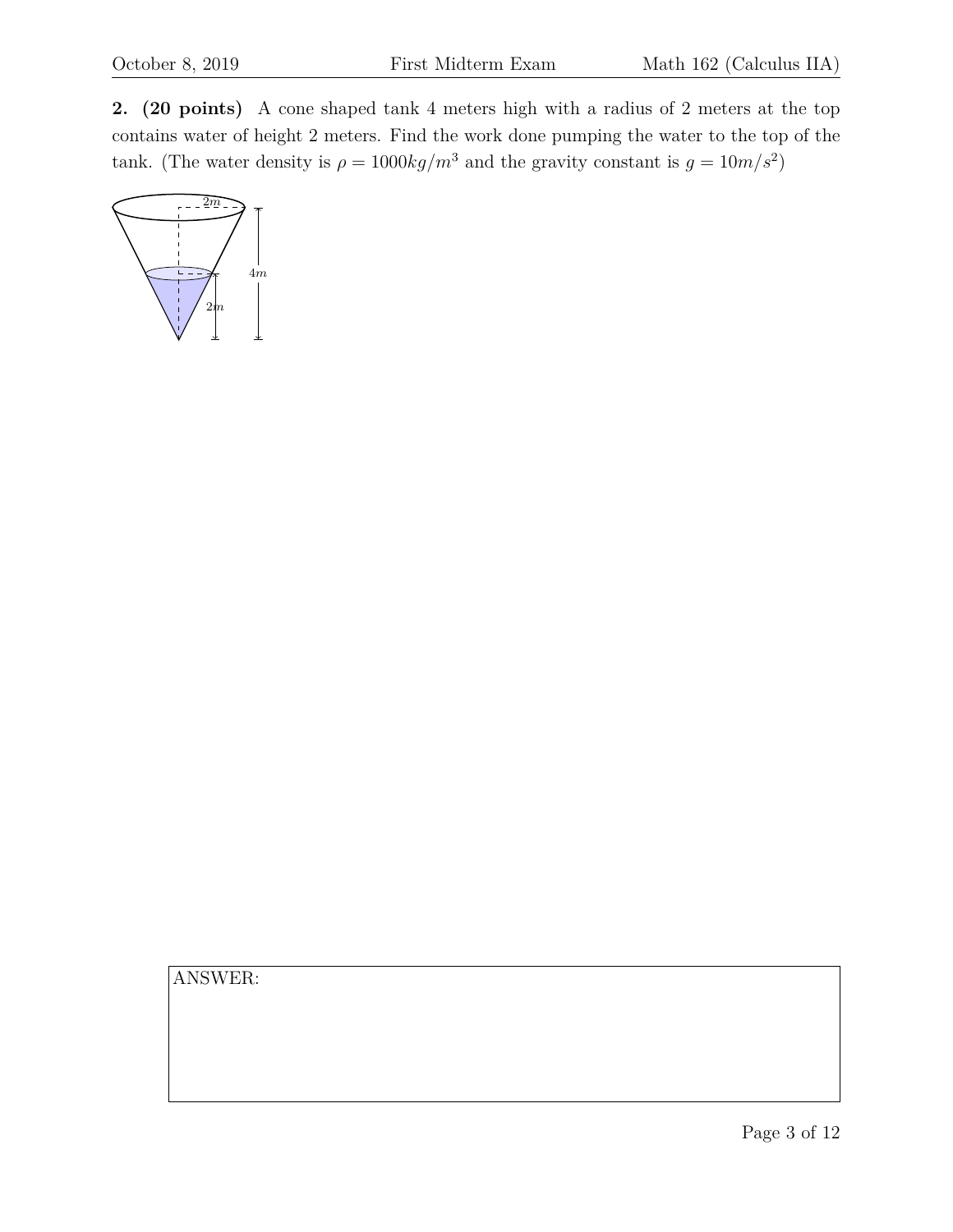**2. (20 points)** A cone shaped tank 4 meters high with a radius of 2 meters at the top contains water of height 2 meters. Find the work done pumping the water to the top of the tank. (The water density is  $\rho = 1000 \frac{kg}{m^3}$  and the gravity constant is  $g = 10 \frac{m}{s^2}$ )

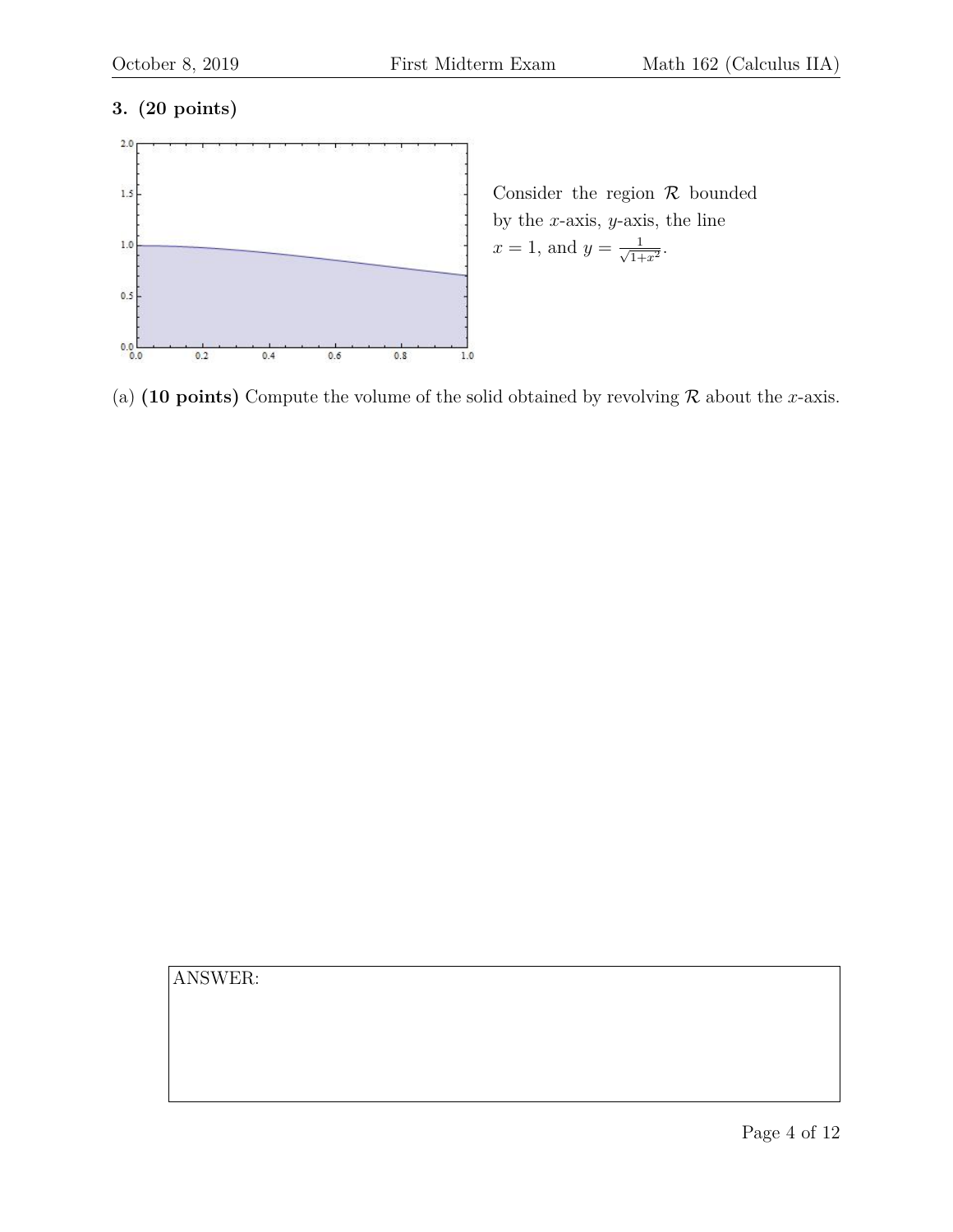#### **3. (20 points)**



(a) **(10 points)** Compute the volume of the solid obtained by revolving  $\mathcal{R}$  about the x-axis.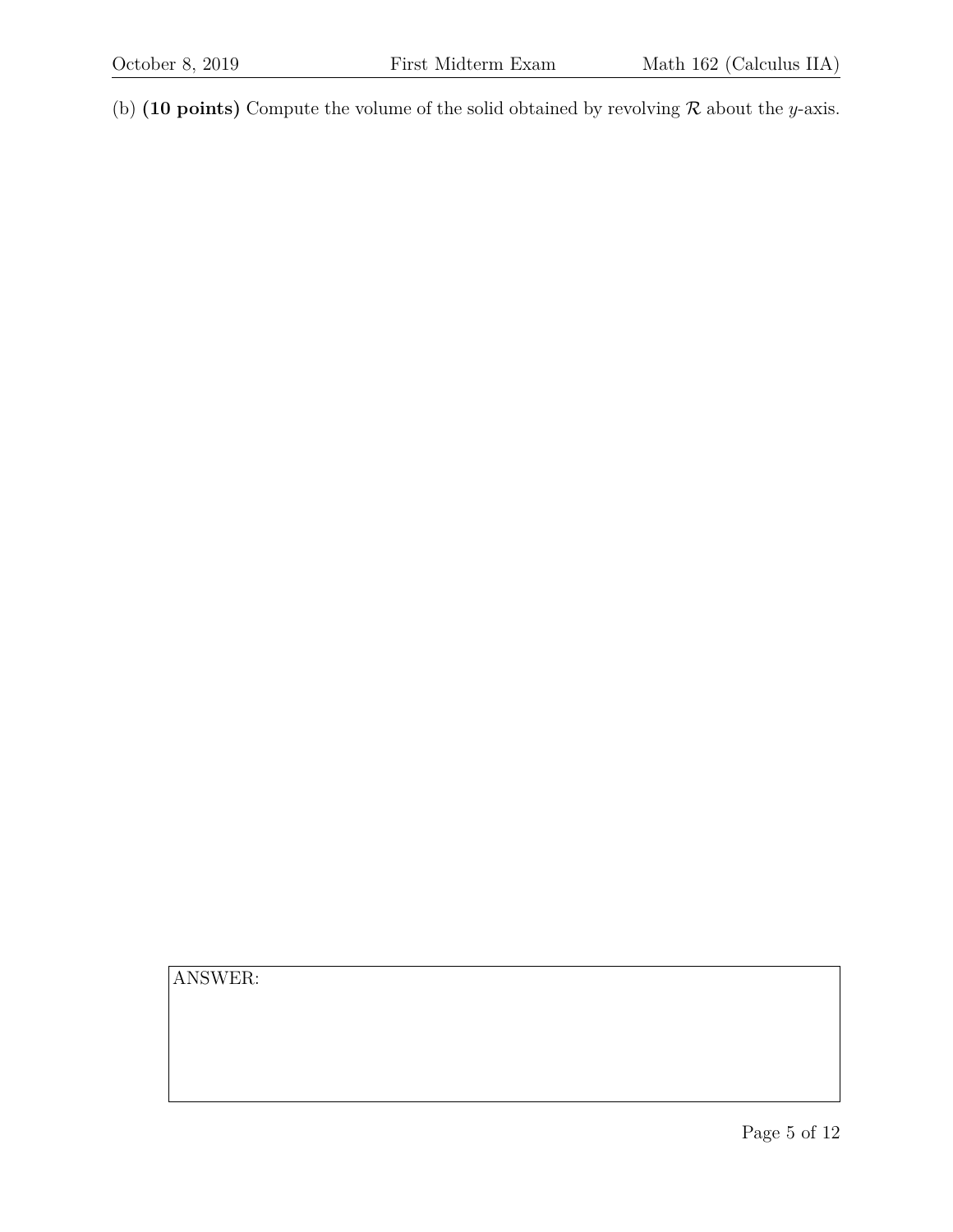(b) **(10 points)** Compute the volume of the solid obtained by revolving  $\mathcal R$  about the *y*-axis.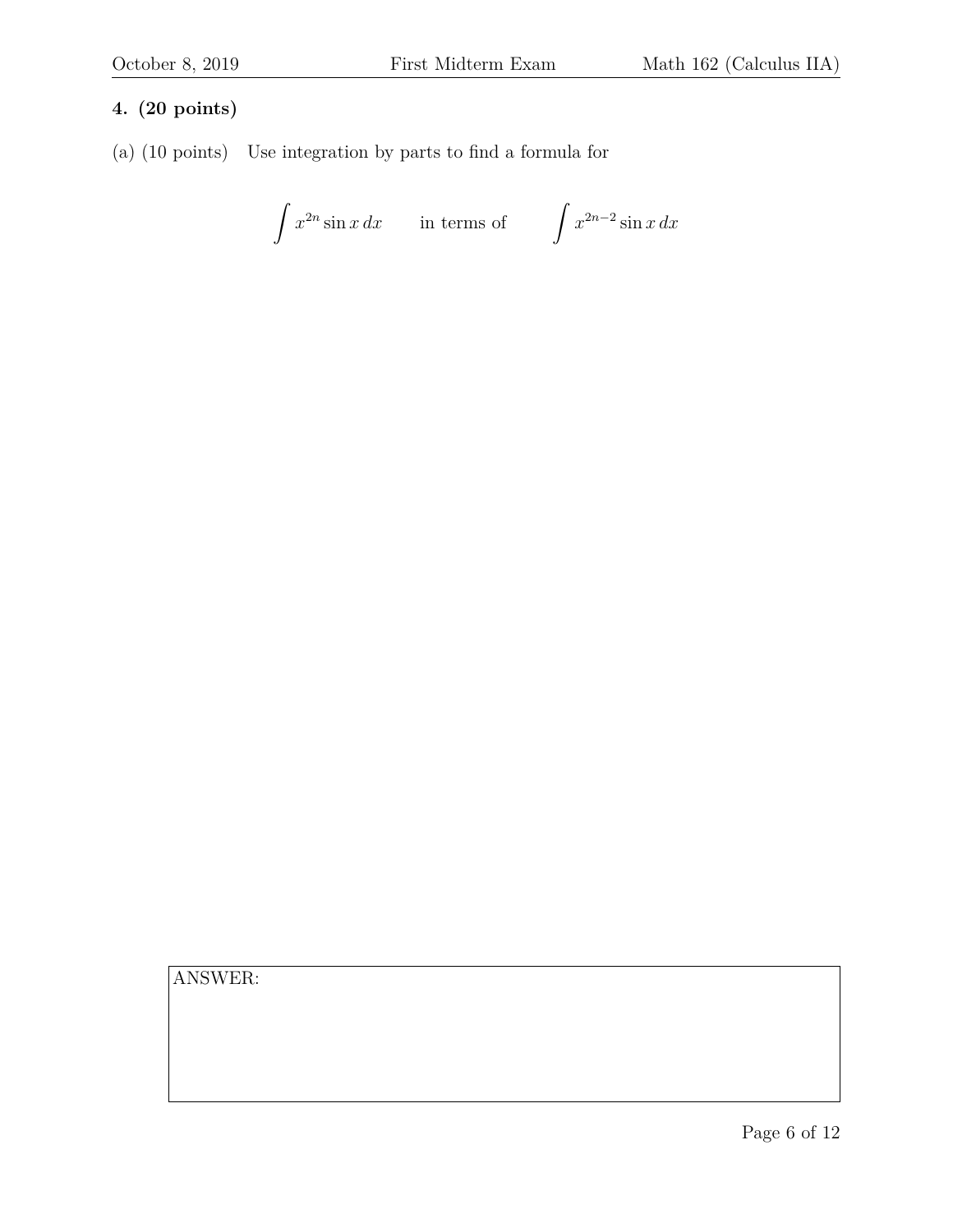### **4. (20 points)**

(a) (10 points) Use integration by parts to find a formula for

$$
\int x^{2n} \sin x \, dx \qquad \text{in terms of} \qquad \int x^{2n-2} \sin x \, dx
$$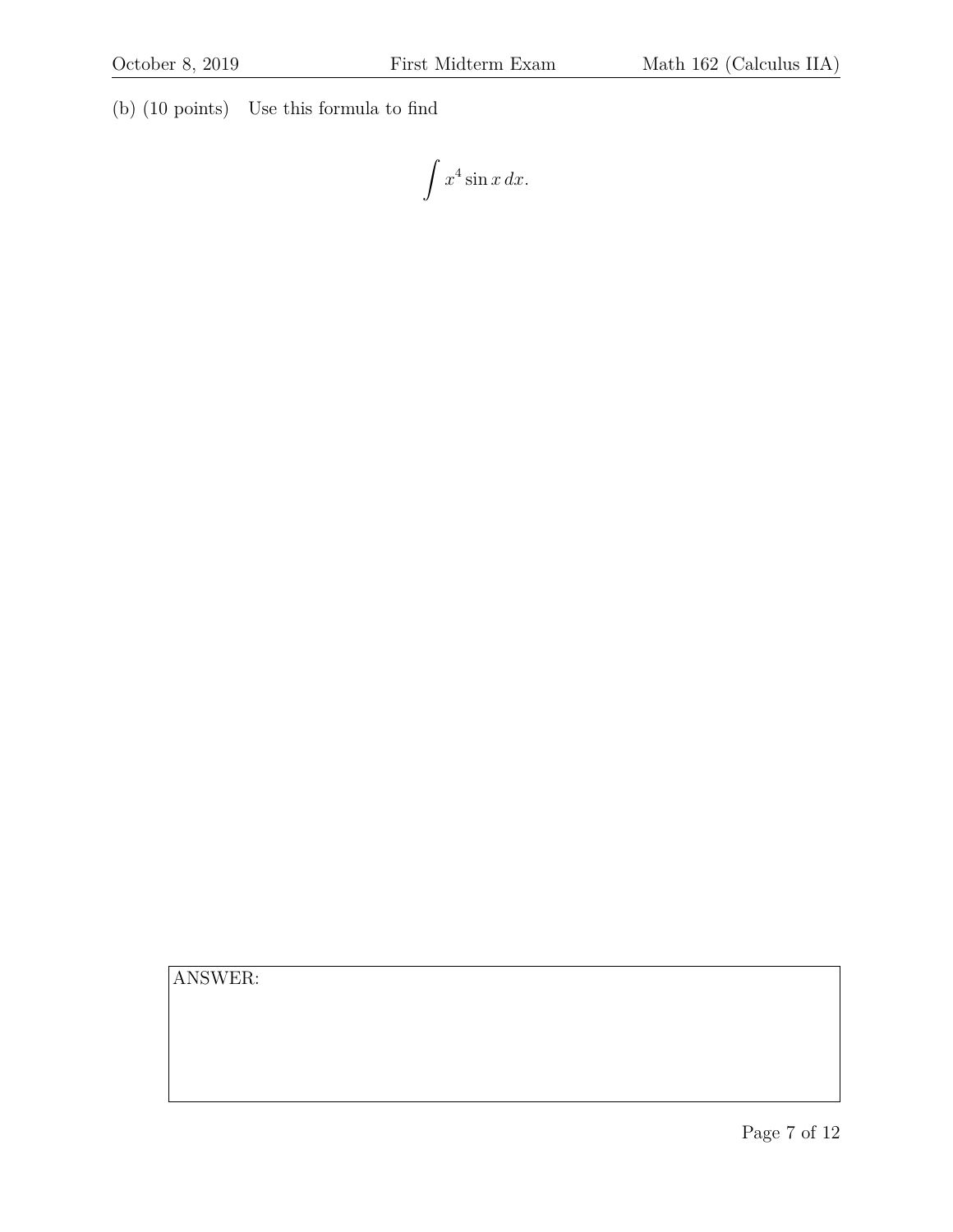(b) (10 points) Use this formula to find

 $\int x^4 \sin x \, dx.$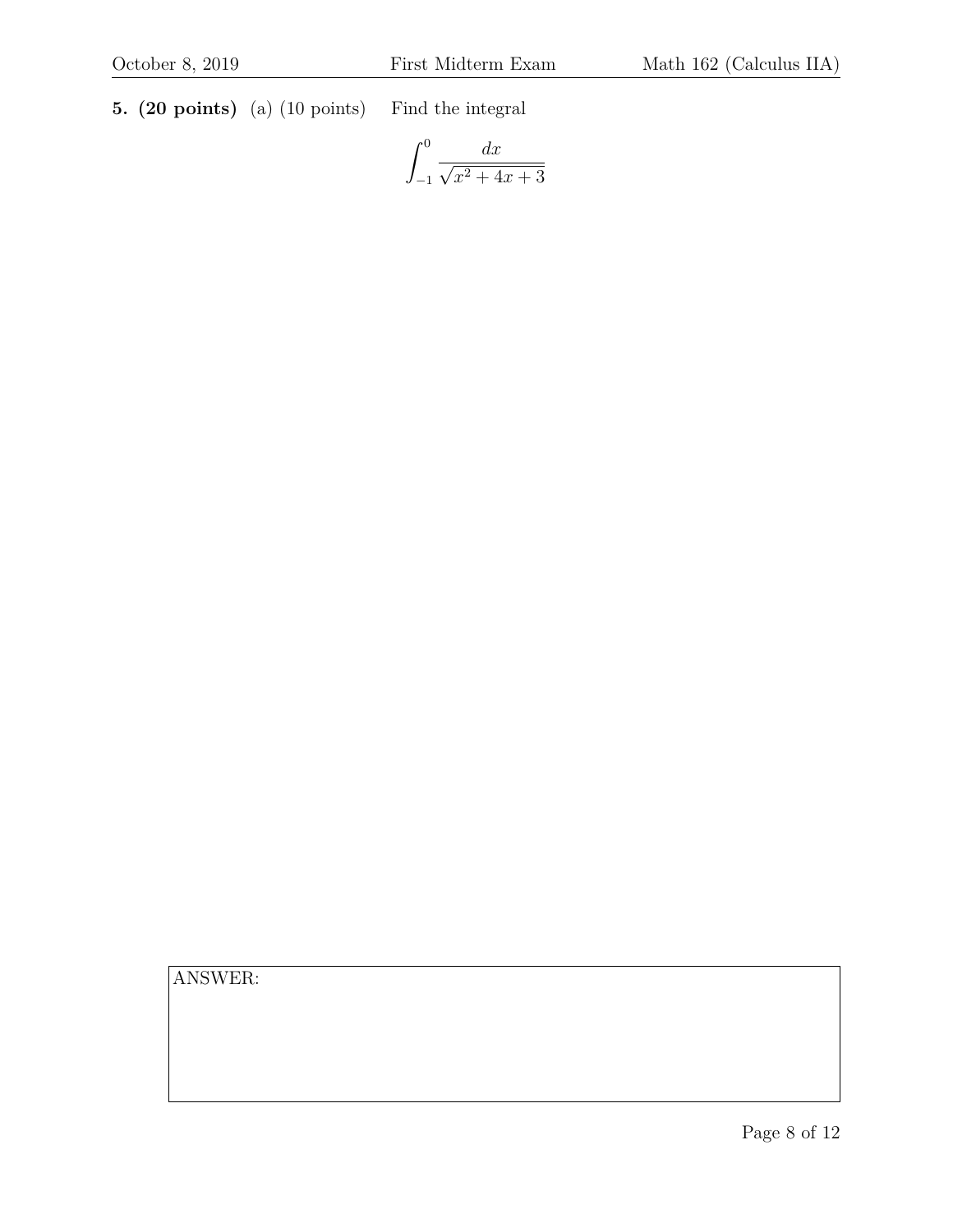**5. (20 points)** (a) (10 points) Find the integral

$$
\int_{-1}^{0} \frac{dx}{\sqrt{x^2 + 4x + 3}}
$$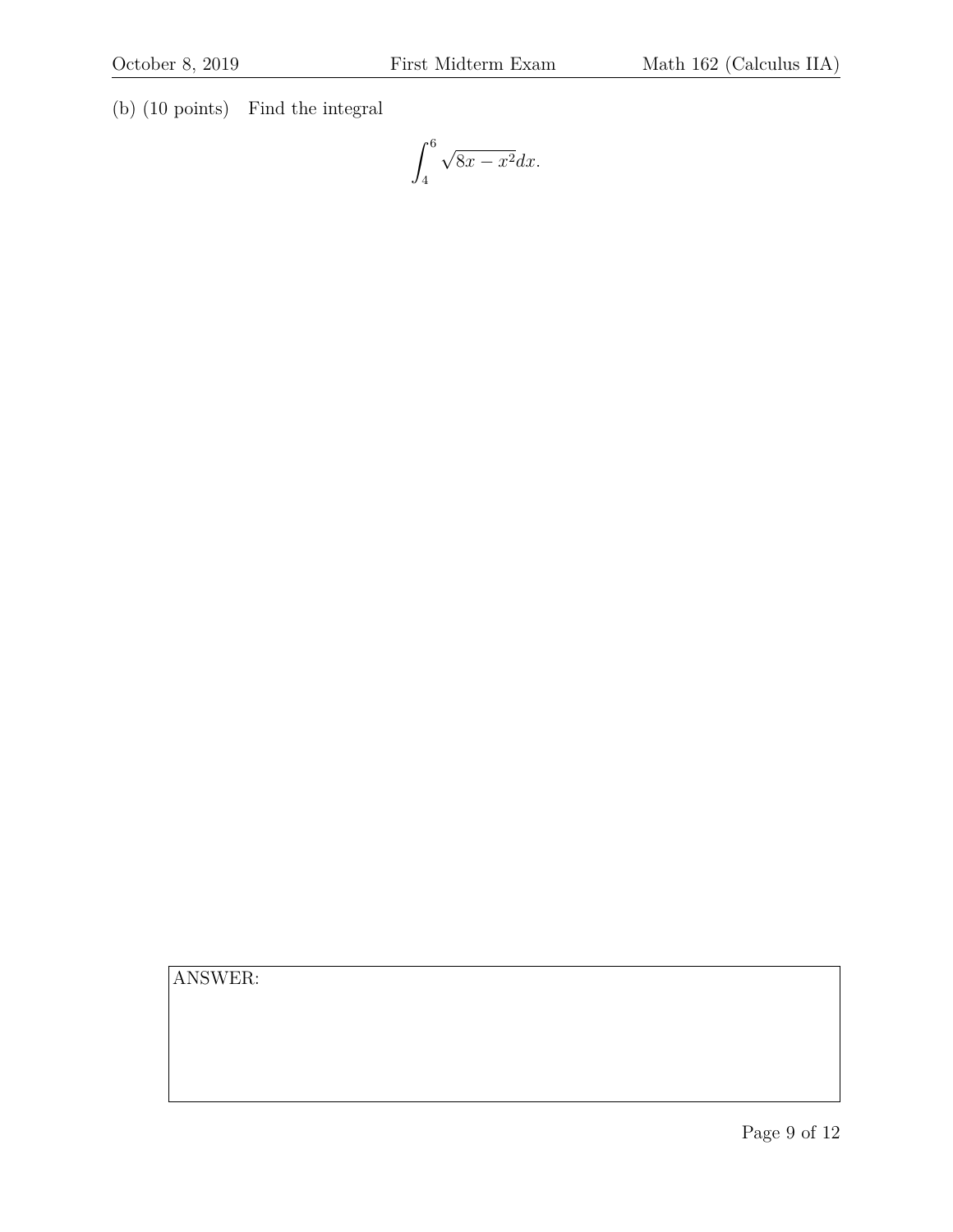(b) (10 points) Find the integral

$$
\int_{4}^{6} \sqrt{8x - x^2} dx.
$$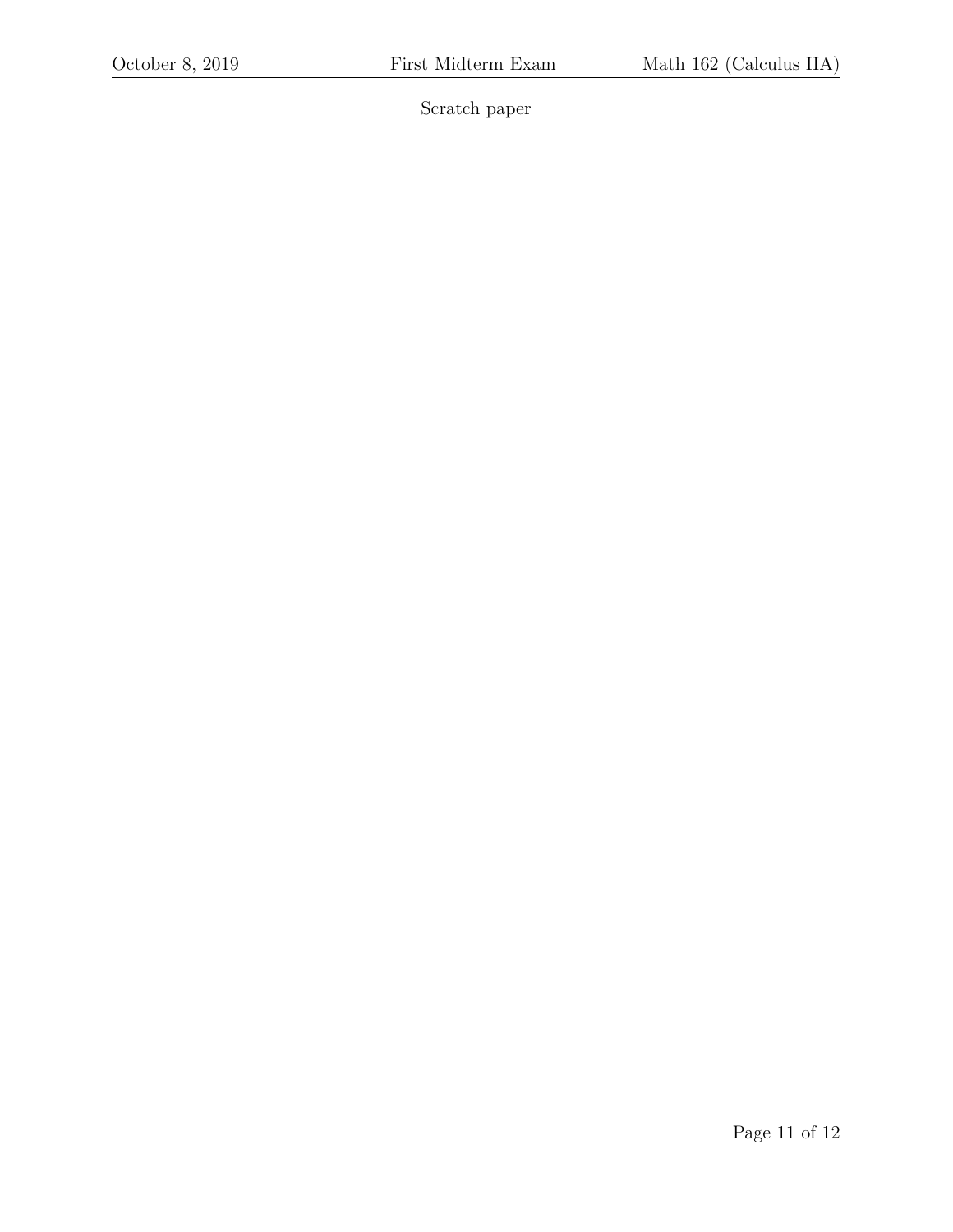Scratch paper